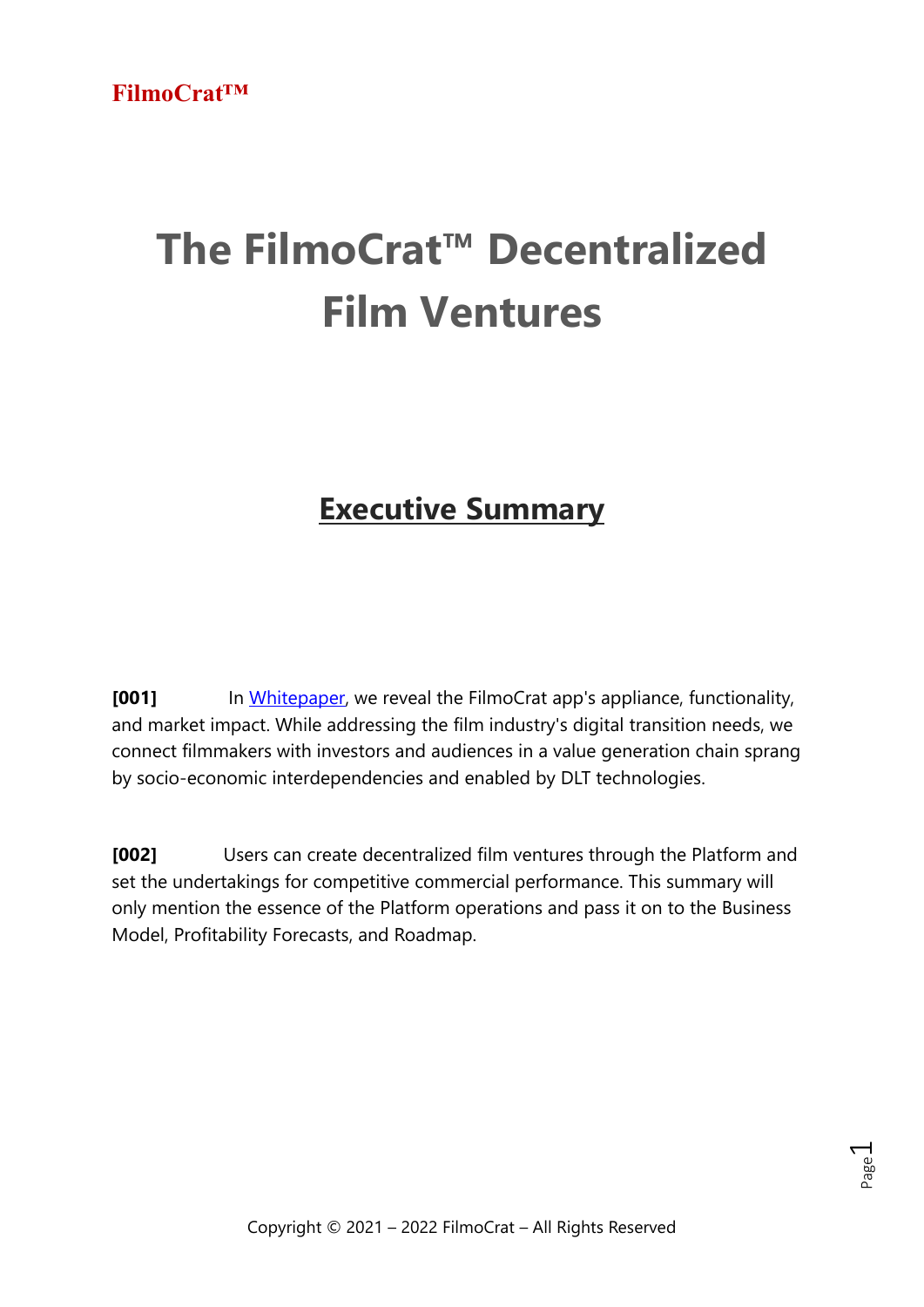# **The FilmoCrat™ Decentralized Film Ventures**

# **Executive Summary**

**[001]** In [Whitepaper,](https://filmocrat.com/whitepaper) we reveal the FilmoCrat app's appliance, functionality, and market impact. While addressing the film industry's digital transition needs, we connect filmmakers with investors and audiences in a value generation chain sprang by socio-economic interdependencies and enabled by DLT technologies.

**[002]** Users can create decentralized film ventures through the Platform and set the undertakings for competitive commercial performance. This summary will only mention the essence of the Platform operations and pass it on to the Business Model, Profitability Forecasts, and Roadmap.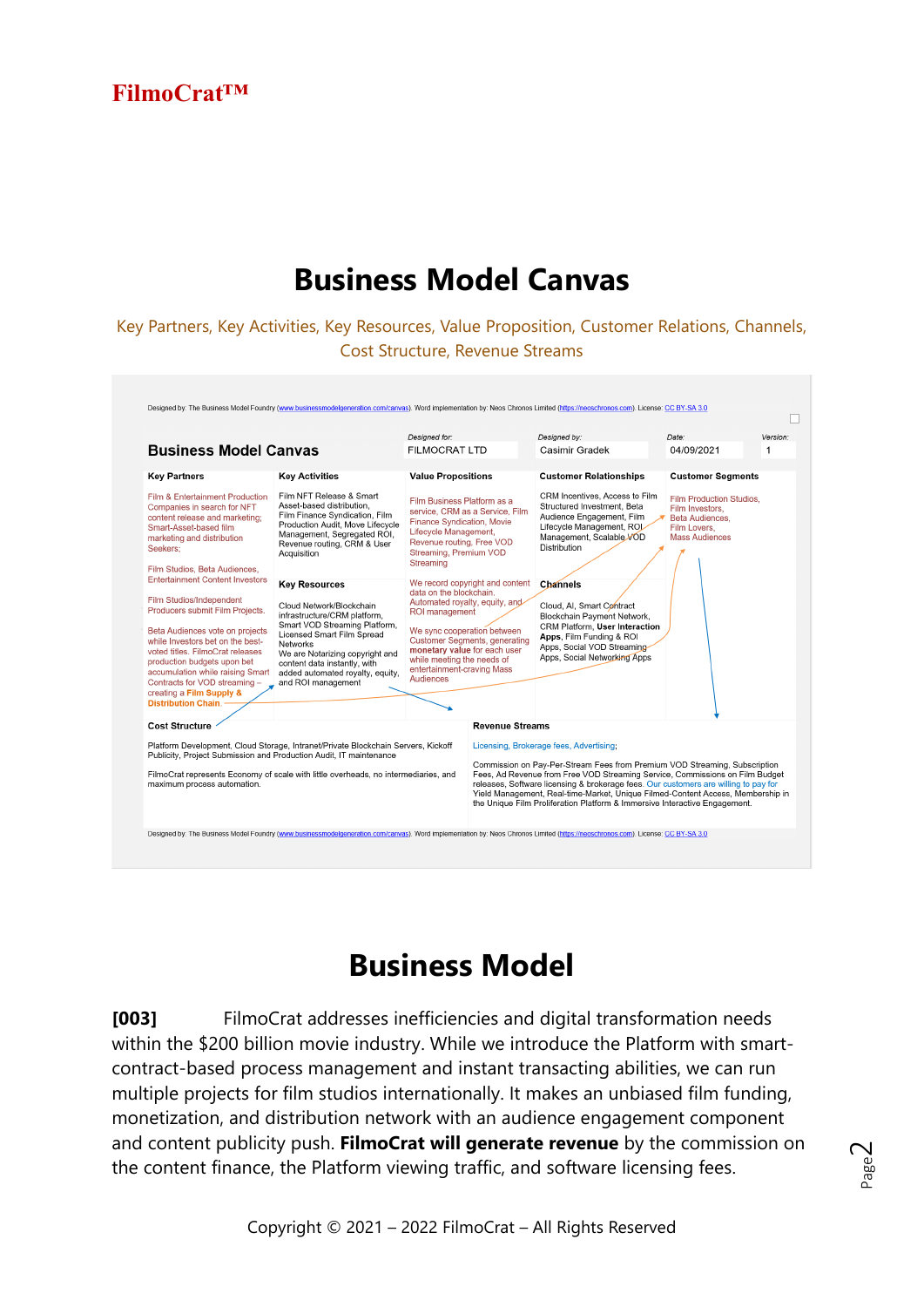### **Business Model Canvas**

Key Partners, Key Activities, Key Resources, Value Proposition, Customer Relations, Channels, Cost Structure, Revenue Streams



### **Business Model**

**[003]** FilmoCrat addresses inefficiencies and digital transformation needs within the \$200 billion movie industry. While we introduce the Platform with smartcontract-based process management and instant transacting abilities, we can run multiple projects for film studios internationally. It makes an unbiased film funding, monetization, and distribution network with an audience engagement component and content publicity push. **FilmoCrat will generate revenue** by the commission on the content finance, the Platform viewing traffic, and software licensing fees.

Page  $\sim$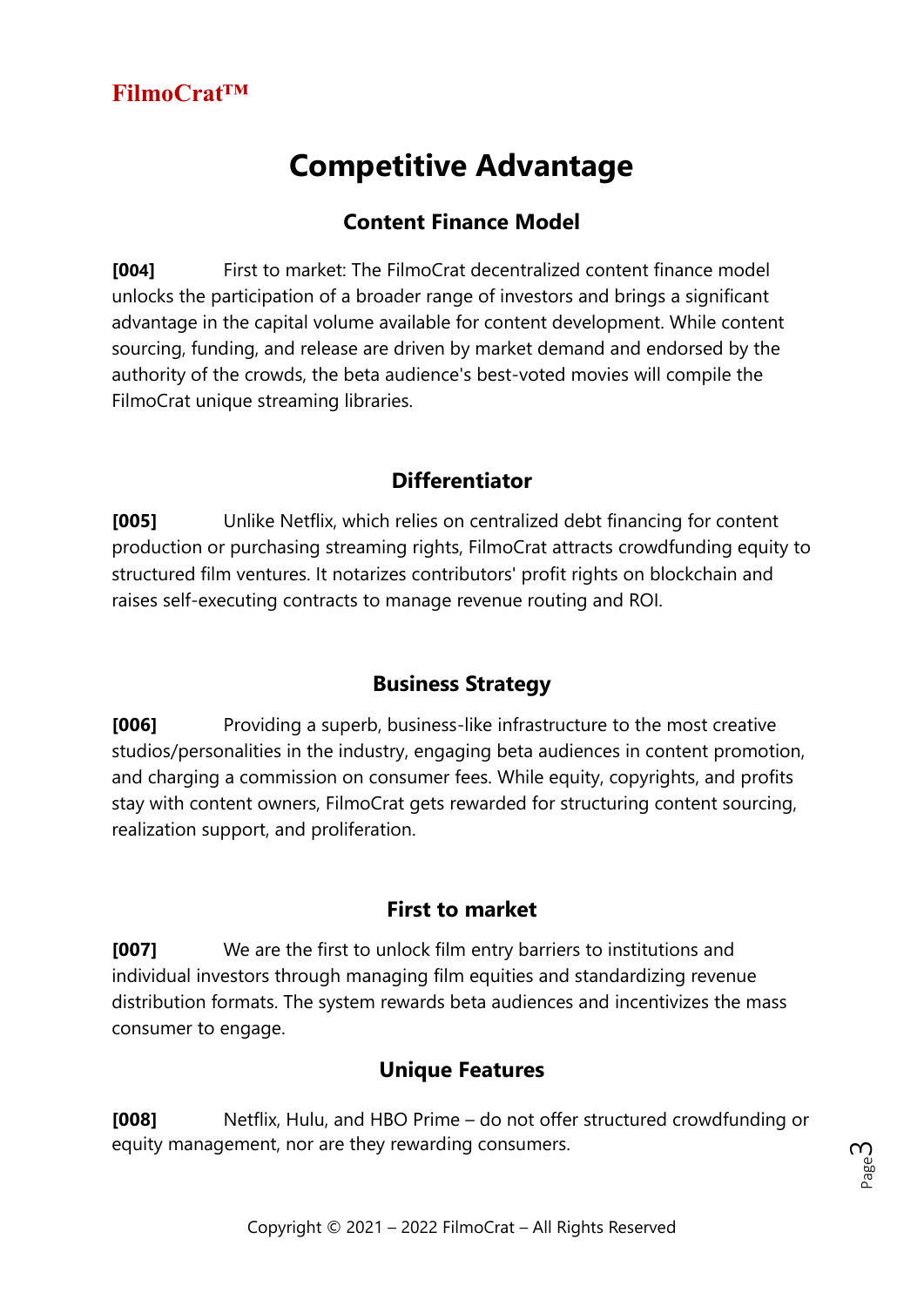# **Competitive Advantage**

#### **Content Finance Model**

**[004]** First to market: The FilmoCrat decentralized content finance model unlocks the participation of a broader range of investors and brings a significant advantage in the capital volume available for content development. While content sourcing, funding, and release are driven by market demand and endorsed by the authority of the crowds, the beta audience's best-voted movies will compile the FilmoCrat unique streaming libraries.

#### **Differentiator**

**[005]** Unlike Netflix, which relies on centralized debt financing for content production or purchasing streaming rights, FilmoCrat attracts crowdfunding equity to structured film ventures. It notarizes contributors' profit rights on blockchain and raises self-executing contracts to manage revenue routing and ROI.

#### **Business Strategy**

**[006]** Providing a superb, business-like infrastructure to the most creative studios/personalities in the industry, engaging beta audiences in content promotion, and charging a commission on consumer fees. While equity, copyrights, and profits stay with content owners, FilmoCrat gets rewarded for structuring content sourcing, realization support, and proliferation.

#### **First to market**

**[007]** We are the first to unlock film entry barriers to institutions and individual investors through managing film equities and standardizing revenue distribution formats. The system rewards beta audiences and incentivizes the mass consumer to engage.

#### **Unique Features**

**[008]** Netflix, Hulu, and HBO Prime – do not offer structured crowdfunding or equity management, nor are they rewarding consumers.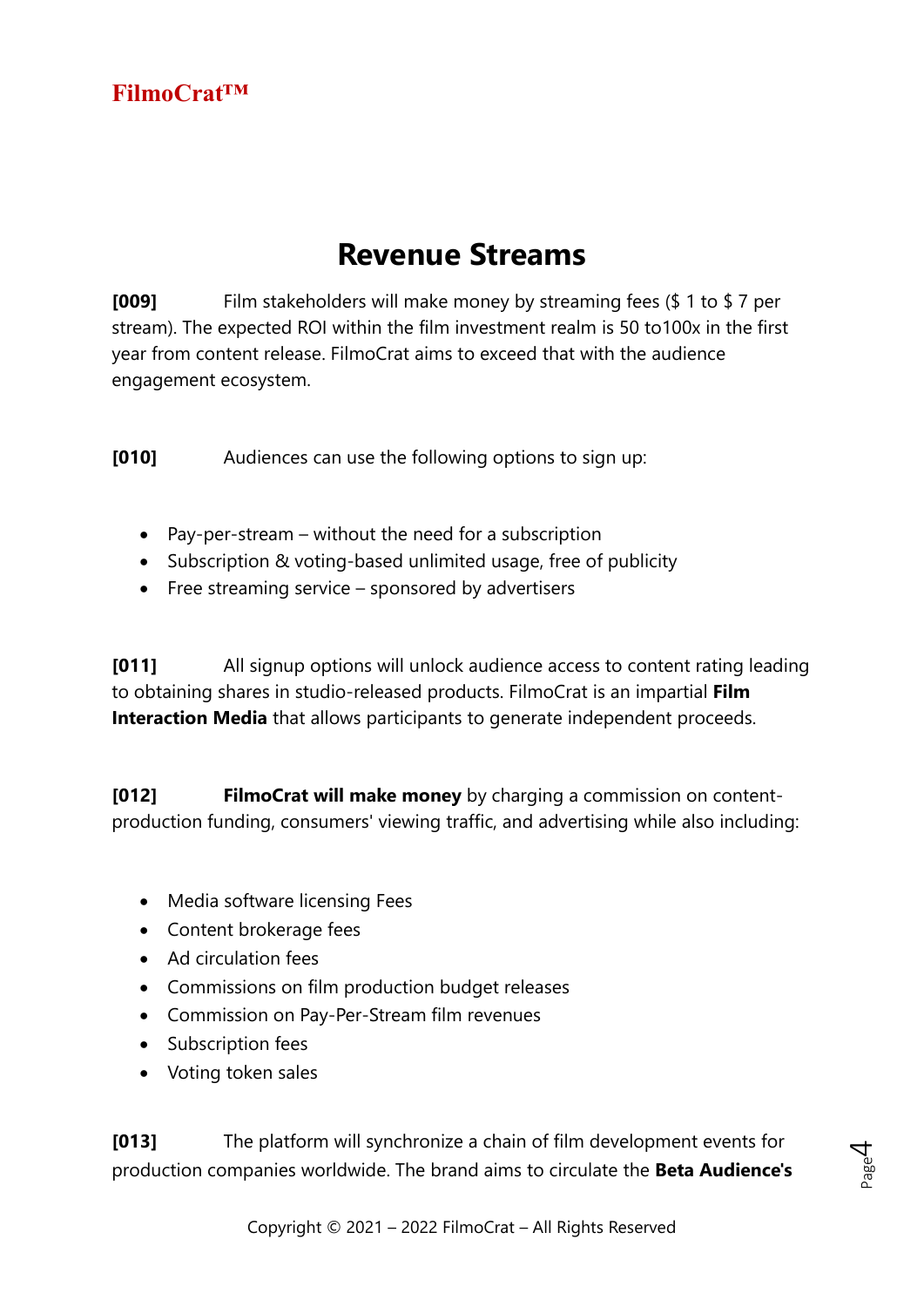### **Revenue Streams**

**[009]** Film stakeholders will make money by streaming fees (\$ 1 to \$ 7 per stream). The expected ROI within the film investment realm is 50 to100x in the first year from content release. FilmoCrat aims to exceed that with the audience engagement ecosystem.

**[010]** Audiences can use the following options to sign up:

- Pay-per-stream without the need for a subscription
- Subscription & voting-based unlimited usage, free of publicity
- Free streaming service sponsored by advertisers

**[011]** All signup options will unlock audience access to content rating leading to obtaining shares in studio-released products. FilmoCrat is an impartial **Film Interaction Media** that allows participants to generate independent proceeds.

**[012] FilmoCrat will make money** by charging a commission on contentproduction funding, consumers' viewing traffic, and advertising while also including:

- Media software licensing Fees
- Content brokerage fees
- Ad circulation fees
- Commissions on film production budget releases
- Commission on Pay-Per-Stream film revenues
- Subscription fees
- Voting token sales

**[013]** The platform will synchronize a chain of film development events for production companies worldwide. The brand aims to circulate the **Beta Audience's**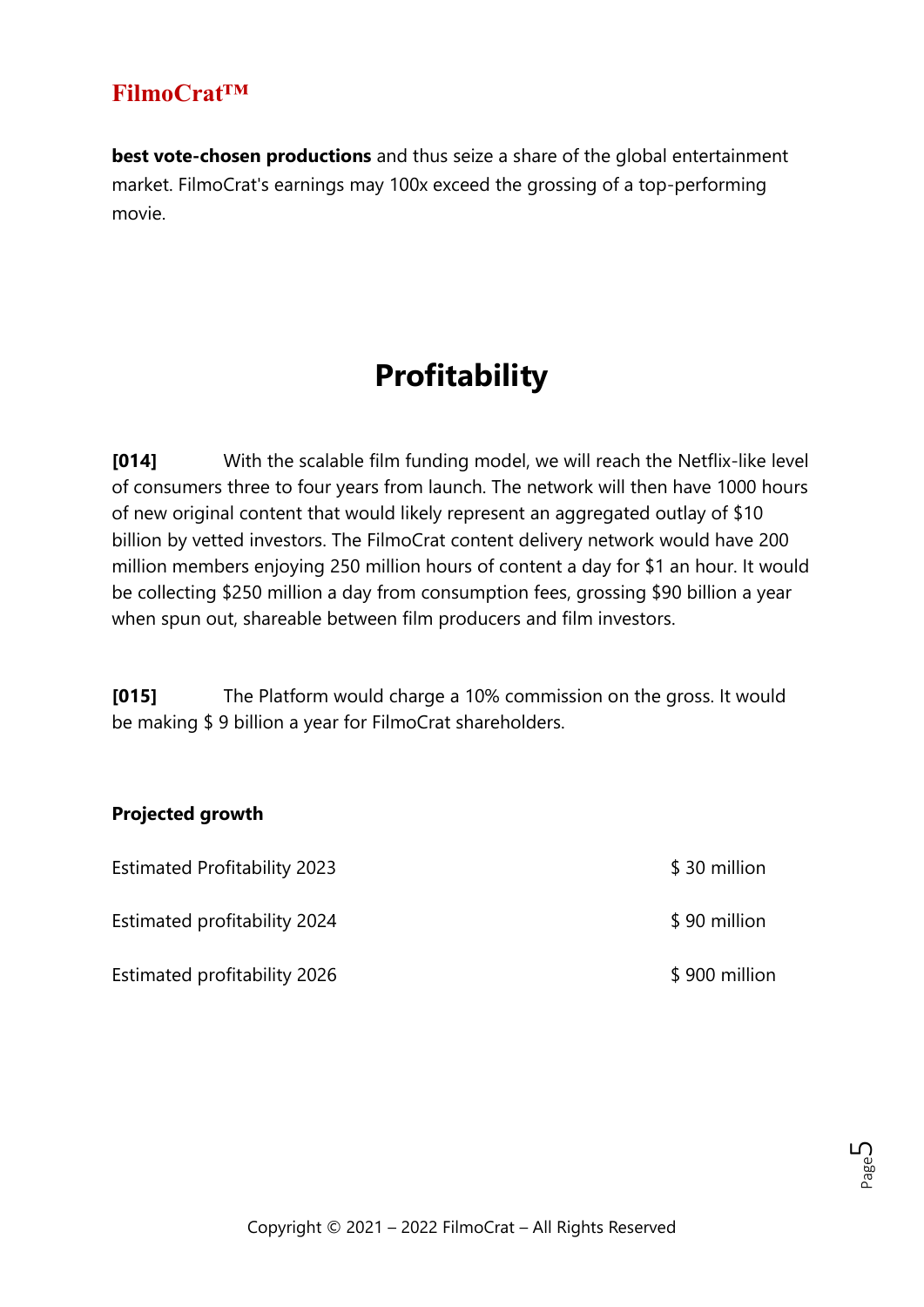**best vote-chosen productions** and thus seize a share of the global entertainment market. FilmoCrat's earnings may 100x exceed the grossing of a top-performing movie.

# **Profitability**

**[014]** With the scalable film funding model, we will reach the Netflix-like level of consumers three to four years from launch. The network will then have 1000 hours of new original content that would likely represent an aggregated outlay of \$10 billion by vetted investors. The FilmoCrat content delivery network would have 200 million members enjoying 250 million hours of content a day for \$1 an hour. It would be collecting \$250 million a day from consumption fees, grossing \$90 billion a year when spun out, shareable between film producers and film investors.

**[015]** The Platform would charge a 10% commission on the gross. It would be making \$ 9 billion a year for FilmoCrat shareholders.

#### **Projected growth**

| <b>Estimated Profitability 2023</b> | \$30 million  |
|-------------------------------------|---------------|
| Estimated profitability 2024        | \$90 million  |
| <b>Estimated profitability 2026</b> | \$900 million |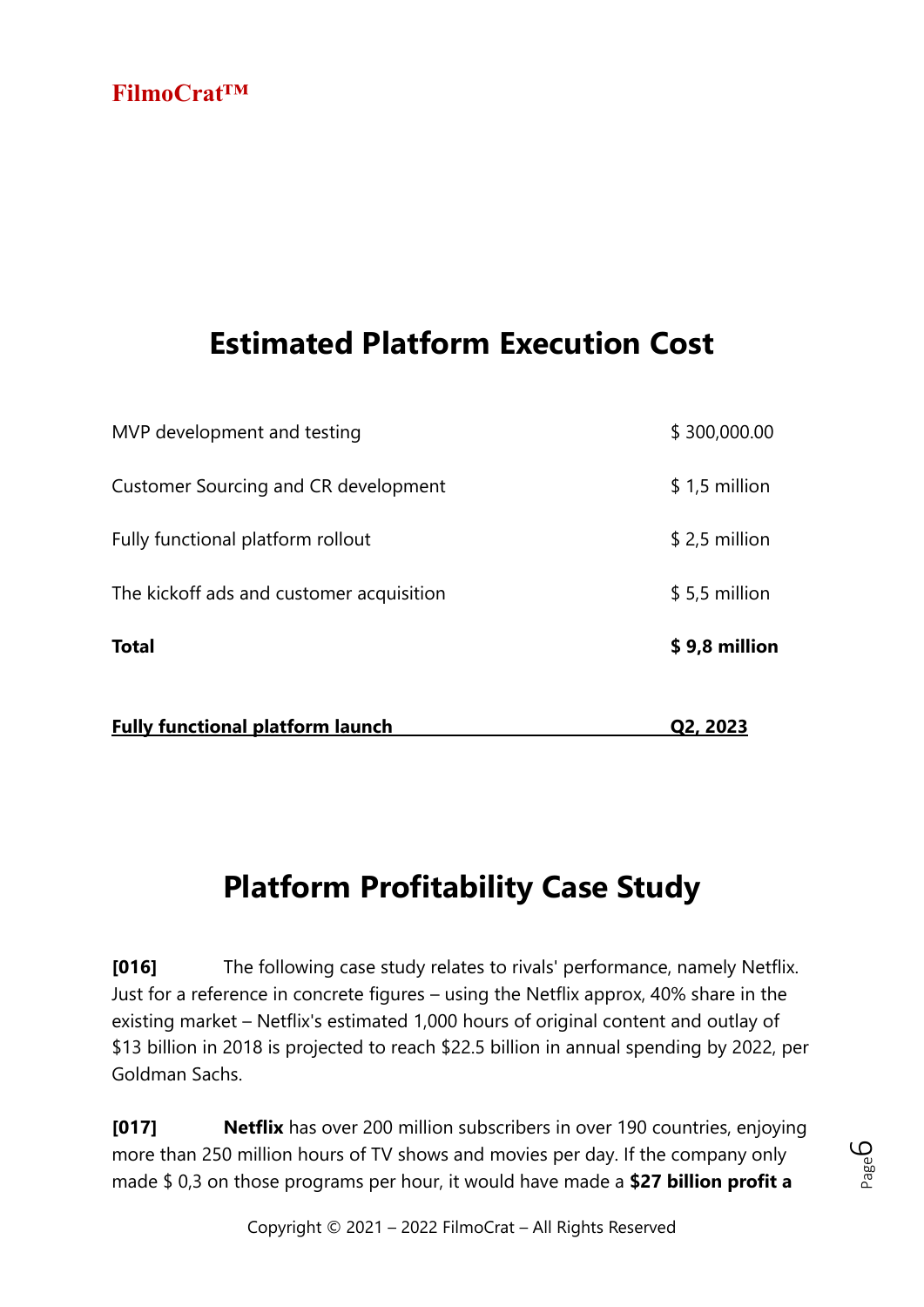# **Estimated Platform Execution Cost**

| <b>Fully functional platform launch</b>  | Q2, 2023       |
|------------------------------------------|----------------|
| <b>Total</b>                             | \$9,8 million  |
| The kickoff ads and customer acquisition | $$5,5$ million |
| Fully functional platform rollout        | $$2,5$ million |
| Customer Sourcing and CR development     | $$1,5$ million |
| MVP development and testing              | \$300,000.00   |

# **Platform Profitability Case Study**

**[016]** The following case study relates to rivals' performance, namely Netflix. Just for a reference in concrete figures – using the Netflix approx, 40% share in the existing market – Netflix's estimated 1,000 hours of original content and outlay of \$13 billion in 2018 is projected to reach \$22.5 billion in annual spending by 2022, per Goldman Sachs.

**[017] Netflix** has over 200 million subscribers in over 190 countries, enjoying more than 250 million hours of TV shows and movies per day. If the company only made \$ 0,3 on those programs per hour, it would have made a **\$27 billion profit a** 

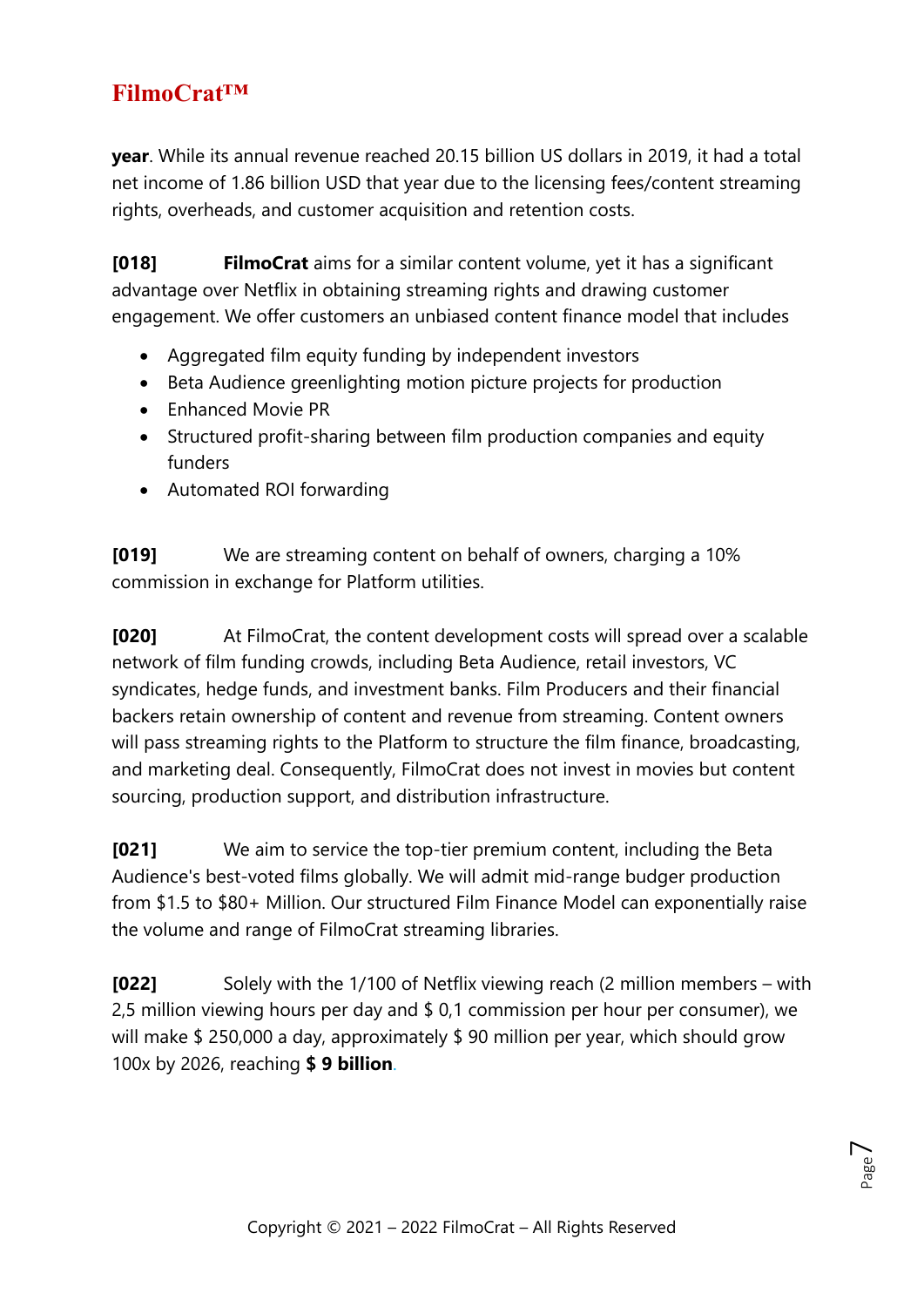**year**. While its annual revenue reached 20.15 billion US dollars in 2019, it had a total net income of 1.86 billion USD that year due to the licensing fees/content streaming rights, overheads, and customer acquisition and retention costs.

**[018] FilmoCrat** aims for a similar content volume, yet it has a significant advantage over Netflix in obtaining streaming rights and drawing customer engagement. We offer customers an unbiased content finance model that includes

- Aggregated film equity funding by independent investors
- Beta Audience greenlighting motion picture projects for production
- Enhanced Movie PR
- Structured profit-sharing between film production companies and equity funders
- Automated ROI forwarding

**[019]** We are streaming content on behalf of owners, charging a 10% commission in exchange for Platform utilities.

**[020]** At FilmoCrat, the content development costs will spread over a scalable network of film funding crowds, including Beta Audience, retail investors, VC syndicates, hedge funds, and investment banks. Film Producers and their financial backers retain ownership of content and revenue from streaming. Content owners will pass streaming rights to the Platform to structure the film finance, broadcasting, and marketing deal. Consequently, FilmoCrat does not invest in movies but content sourcing, production support, and distribution infrastructure.

**[021]** We aim to service the top-tier premium content, including the Beta Audience's best-voted films globally. We will admit mid-range budger production from \$1.5 to \$80+ Million. Our structured Film Finance Model can exponentially raise the volume and range of FilmoCrat streaming libraries.

**[022]** Solely with the 1/100 of Netflix viewing reach (2 million members – with 2,5 million viewing hours per day and \$ 0,1 commission per hour per consumer), we will make \$ 250,000 a day, approximately \$ 90 million per year, which should grow 100x by 2026, reaching **\$ 9 billion**.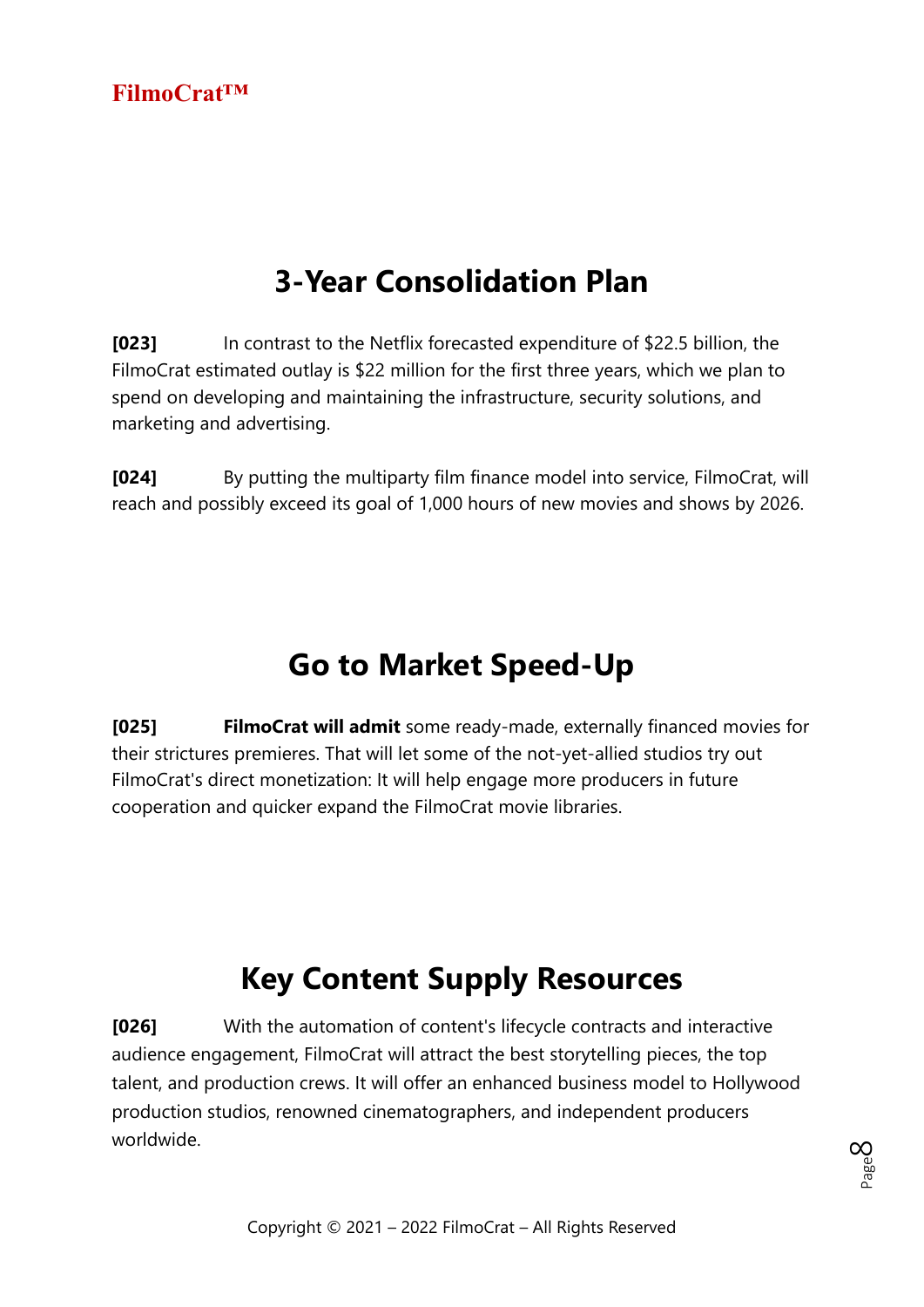# **3-Year Consolidation Plan**

**[023]** In contrast to the Netflix forecasted expenditure of \$22.5 billion, the FilmoCrat estimated outlay is \$22 million for the first three years, which we plan to spend on developing and maintaining the infrastructure, security solutions, and marketing and advertising.

**[024]** By putting the multiparty film finance model into service, FilmoCrat, will reach and possibly exceed its goal of 1,000 hours of new movies and shows by 2026.

# **Go to Market Speed-Up**

**[025] FilmoCrat will admit** some ready-made, externally financed movies for their strictures premieres. That will let some of the not-yet-allied studios try out FilmoCrat's direct monetization: It will help engage more producers in future cooperation and quicker expand the FilmoCrat movie libraries.

# **Key Content Supply Resources**

**[026]** With the automation of content's lifecycle contracts and interactive audience engagement, FilmoCrat will attract the best storytelling pieces, the top talent, and production crews. It will offer an enhanced business model to Hollywood production studios, renowned cinematographers, and independent producers worldwide.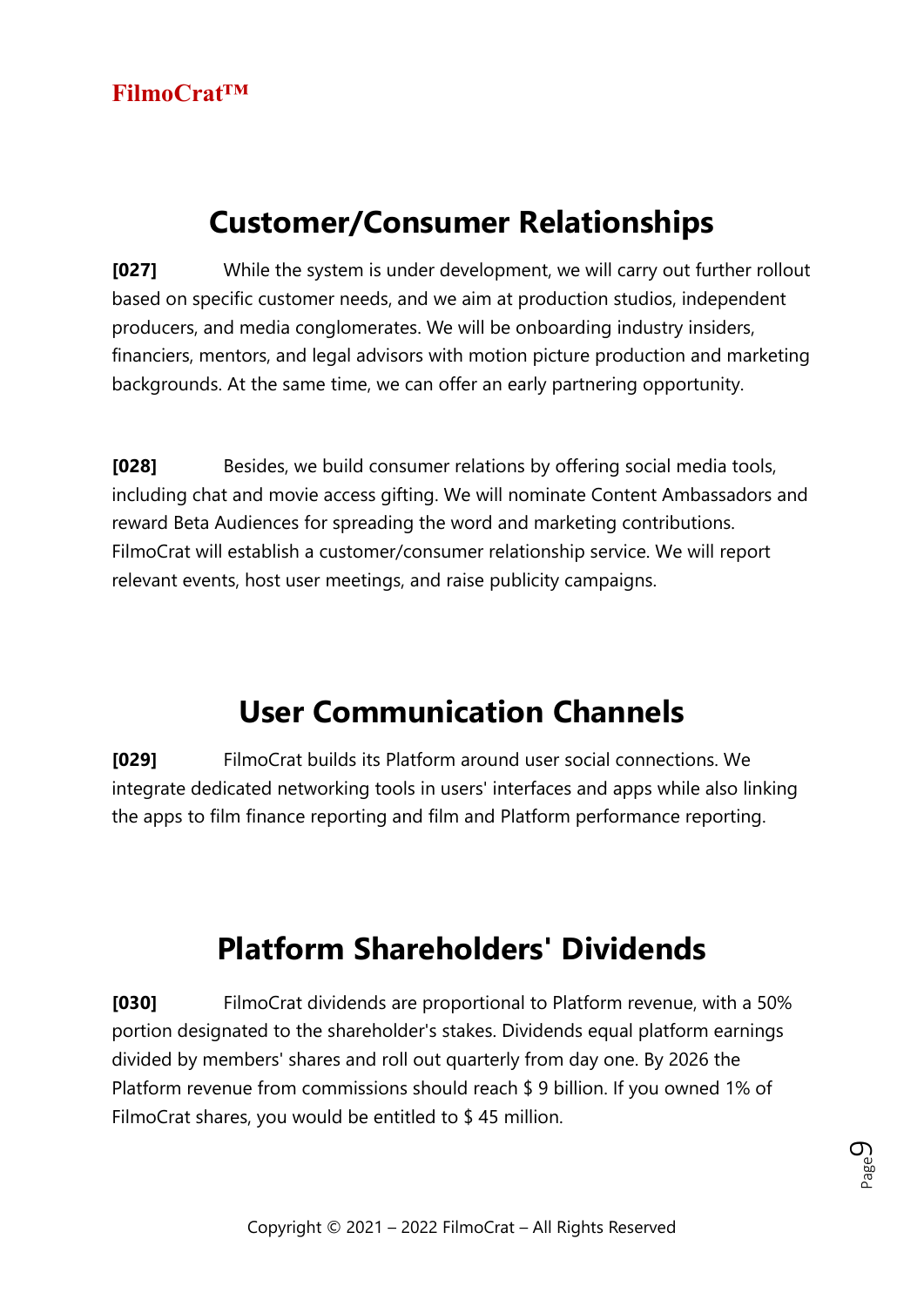### **Customer/Consumer Relationships**

**[027]** While the system is under development, we will carry out further rollout based on specific customer needs, and we aim at production studios, independent producers, and media conglomerates. We will be onboarding industry insiders, financiers, mentors, and legal advisors with motion picture production and marketing backgrounds. At the same time, we can offer an early partnering opportunity.

**[028]** Besides, we build consumer relations by offering social media tools, including chat and movie access gifting. We will nominate Content Ambassadors and reward Beta Audiences for spreading the word and marketing contributions. FilmoCrat will establish a customer/consumer relationship service. We will report relevant events, host user meetings, and raise publicity campaigns.

### **User Communication Channels**

**[029]** FilmoCrat builds its Platform around user social connections. We integrate dedicated networking tools in users' interfaces and apps while also linking the apps to film finance reporting and film and Platform performance reporting.

# **Platform Shareholders' Dividends**

**[030]** FilmoCrat dividends are proportional to Platform revenue, with a 50% portion designated to the shareholder's stakes. Dividends equal platform earnings divided by members' shares and roll out quarterly from day one. By 2026 the Platform revenue from commissions should reach \$ 9 billion. If you owned 1% of FilmoCrat shares, you would be entitled to \$ 45 million.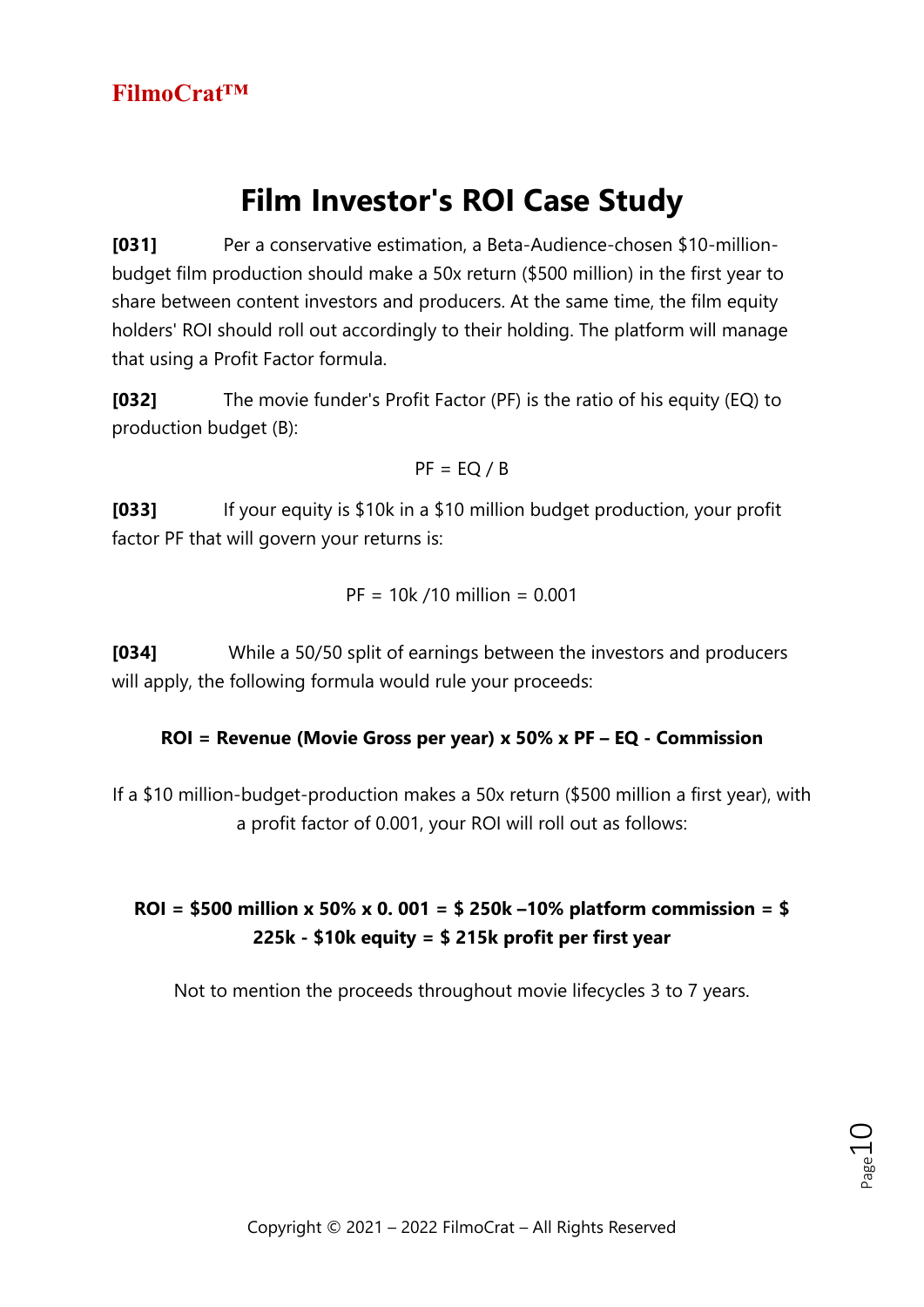# **Film Investor's ROI Case Study**

**[031]** Per a conservative estimation, a Beta-Audience-chosen \$10-millionbudget film production should make a 50x return (\$500 million) in the first year to share between content investors and producers. At the same time, the film equity holders' ROI should roll out accordingly to their holding. The platform will manage that using a Profit Factor formula.

**[032]** The movie funder's Profit Factor (PF) is the ratio of his equity (EQ) to production budget (B):

$$
PF = EQ / B
$$

**[033]** If your equity is \$10k in a \$10 million budget production, your profit factor PF that will govern your returns is:

$$
PF = 10k / 10 million = 0.001
$$

**[034]** While a 50/50 split of earnings between the investors and producers will apply, the following formula would rule your proceeds:

#### **ROI = Revenue (Movie Gross per year) x 50% x PF – EQ - Commission**

If a \$10 million-budget-production makes a 50x return (\$500 million a first year), with a profit factor of 0.001, your ROI will roll out as follows:

#### **ROI = \$500 million x 50% x 0. 001 = \$ 250k –10% platform commission = \$ 225k - \$10k equity = \$ 215k profit per first year**

Not to mention the proceeds throughout movie lifecycles 3 to 7 years.